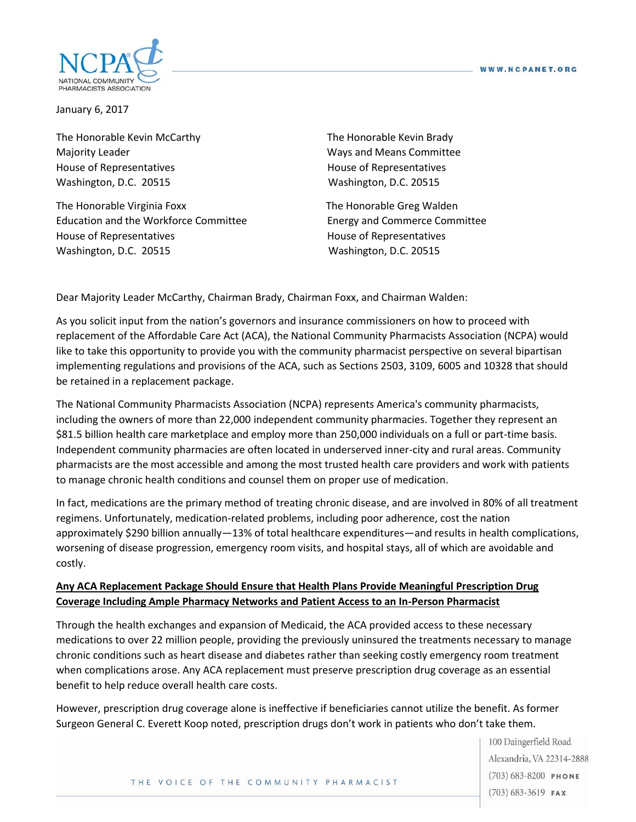

January 6, 2017

The Honorable Kevin McCarthy The Honorable Kevin Brady Majority Leader Ways and Means Committee House of Representatives **House of Representatives** Washington, D.C. 20515 Washington, D.C. 20515

The Honorable Virginia Foxx The Honorable Greg Walden Education and the Workforce Committee Energy and Commerce Committee House of Representatives **House of Representatives** Washington, D.C. 20515 Washington, D.C. 20515

Dear Majority Leader McCarthy, Chairman Brady, Chairman Foxx, and Chairman Walden:

As you solicit input from the nation's governors and insurance commissioners on how to proceed with replacement of the Affordable Care Act (ACA), the National Community Pharmacists Association (NCPA) would like to take this opportunity to provide you with the community pharmacist perspective on several bipartisan implementing regulations and provisions of the ACA, such as Sections 2503, 3109, 6005 and 10328 that should be retained in a replacement package.

The National Community Pharmacists Association (NCPA) represents America's community pharmacists, including the owners of more than 22,000 independent community pharmacies. Together they represent an \$81.5 billion health care marketplace and employ more than 250,000 individuals on a full or part-time basis. Independent community pharmacies are often located in underserved inner-city and rural areas. Community pharmacists are the most accessible and among the most trusted health care providers and work with patients to manage chronic health conditions and counsel them on proper use of medication.

In fact, medications are the primary method of treating chronic disease, and are involved in 80% of all treatment regimens. Unfortunately, medication-related problems, including poor adherence, cost the nation approximately \$290 billion annually—13% of total healthcare expenditures—and results in health complications, worsening of disease progression, emergency room visits, and hospital stays, all of which are avoidable and costly.

## **Any ACA Replacement Package Should Ensure that Health Plans Provide Meaningful Prescription Drug Coverage Including Ample Pharmacy Networks and Patient Access to an In-Person Pharmacist**

Through the health exchanges and expansion of Medicaid, the ACA provided access to these necessary medications to over 22 million people, providing the previously uninsured the treatments necessary to manage chronic conditions such as heart disease and diabetes rather than seeking costly emergency room treatment when complications arose. Any ACA replacement must preserve prescription drug coverage as an essential benefit to help reduce overall health care costs.

However, prescription drug coverage alone is ineffective if beneficiaries cannot utilize the benefit. As former Surgeon General C. Everett Koop noted, prescription drugs don't work in patients who don't take them.

> 100 Daingerfield Road Alexandria, VA 22314-2888  $(703) 683 - 8200$  PHONE  $(703)$  683-3619 FAX

THE VOICE OF THE COMMUNITY PHARMACIST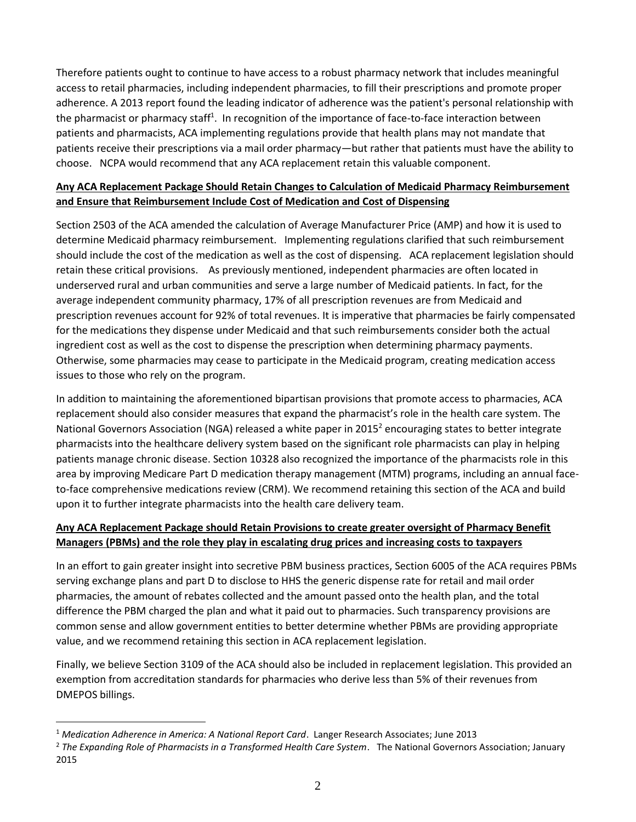Therefore patients ought to continue to have access to a robust pharmacy network that includes meaningful access to retail pharmacies, including independent pharmacies, to fill their prescriptions and promote proper adherence. A 2013 report found the leading indicator of adherence was the patient's personal relationship with the pharmacist or pharmacy staff<sup>1</sup>. In recognition of the importance of face-to-face interaction between patients and pharmacists, ACA implementing regulations provide that health plans may not mandate that patients receive their prescriptions via a mail order pharmacy—but rather that patients must have the ability to choose. NCPA would recommend that any ACA replacement retain this valuable component.

## **Any ACA Replacement Package Should Retain Changes to Calculation of Medicaid Pharmacy Reimbursement and Ensure that Reimbursement Include Cost of Medication and Cost of Dispensing**

Section 2503 of the ACA amended the calculation of Average Manufacturer Price (AMP) and how it is used to determine Medicaid pharmacy reimbursement. Implementing regulations clarified that such reimbursement should include the cost of the medication as well as the cost of dispensing. ACA replacement legislation should retain these critical provisions. As previously mentioned, independent pharmacies are often located in underserved rural and urban communities and serve a large number of Medicaid patients. In fact, for the average independent community pharmacy, 17% of all prescription revenues are from Medicaid and prescription revenues account for 92% of total revenues. It is imperative that pharmacies be fairly compensated for the medications they dispense under Medicaid and that such reimbursements consider both the actual ingredient cost as well as the cost to dispense the prescription when determining pharmacy payments. Otherwise, some pharmacies may cease to participate in the Medicaid program, creating medication access issues to those who rely on the program.

In addition to maintaining the aforementioned bipartisan provisions that promote access to pharmacies, ACA replacement should also consider measures that expand the pharmacist's role in the health care system. The National Governors Association (NGA) released a white paper in 2015<sup>2</sup> encouraging states to better integrate pharmacists into the healthcare delivery system based on the significant role pharmacists can play in helping patients manage chronic disease. Section 10328 also recognized the importance of the pharmacists role in this area by improving Medicare Part D medication therapy management (MTM) programs, including an annual faceto-face comprehensive medications review (CRM). We recommend retaining this section of the ACA and build upon it to further integrate pharmacists into the health care delivery team.

## **Any ACA Replacement Package should Retain Provisions to create greater oversight of Pharmacy Benefit Managers (PBMs) and the role they play in escalating drug prices and increasing costs to taxpayers**

In an effort to gain greater insight into secretive PBM business practices, Section 6005 of the ACA requires PBMs serving exchange plans and part D to disclose to HHS the generic dispense rate for retail and mail order pharmacies, the amount of rebates collected and the amount passed onto the health plan, and the total difference the PBM charged the plan and what it paid out to pharmacies. Such transparency provisions are common sense and allow government entities to better determine whether PBMs are providing appropriate value, and we recommend retaining this section in ACA replacement legislation.

Finally, we believe Section 3109 of the ACA should also be included in replacement legislation. This provided an exemption from accreditation standards for pharmacies who derive less than 5% of their revenues from DMEPOS billings.

 $\overline{a}$ 

<sup>1</sup> *Medication Adherence in America: A National Report Card*. Langer Research Associates; June 2013

<sup>2</sup> *The Expanding Role of Pharmacists in a Transformed Health Care System*. The National Governors Association; January 2015